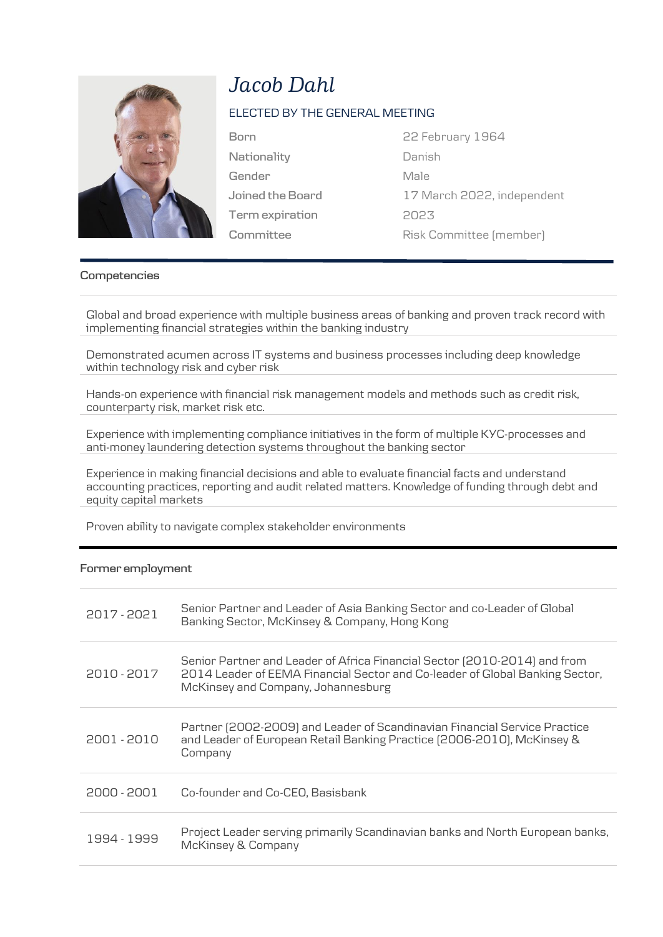

## *Jacob Dahl*

## ELECTED BY THE GENERAL MEETING

**Nationality Gender Joined the Board Term expiration Committee**

**Born** 22 February 1964 Danish Male 17 March 2022, independent 2023 Risk Committee (member)

## **Competencies**

Global and broad experience with multiple business areas of banking and proven track record with implementing financial strategies within the banking industry

Demonstrated acumen across IT systems and business processes including deep knowledge within technology risk and cyber risk

Hands-on experience with financial risk management models and methods such as credit risk, counterparty risk, market risk etc.

Experience with implementing compliance initiatives in the form of multiple KYC-processes and anti-money laundering detection systems throughout the banking sector

Experience in making financial decisions and able to evaluate financial facts and understand accounting practices, reporting and audit related matters. Knowledge of funding through debt and equity capital markets

Proven ability to navigate complex stakeholder environments

## **Former employment**

| 2017 - 2021 | Senior Partner and Leader of Asia Banking Sector and co-Leader of Global<br>Banking Sector, McKinsey & Company, Hong Kong                                                                       |
|-------------|-------------------------------------------------------------------------------------------------------------------------------------------------------------------------------------------------|
| 2010 - 2017 | Senior Partner and Leader of Africa Financial Sector (2010-2014) and from<br>2014 Leader of EEMA Financial Sector and Co-leader of Global Banking Sector,<br>McKinsey and Company, Johannesburg |
| 2001 - 2010 | Partner (2002-2009) and Leader of Scandinavian Financial Service Practice<br>and Leader of European Retail Banking Practice (2006-2010), McKinsey &<br>Company                                  |
| 2000 - 2001 | Co-founder and Co-CEO, Basisbank                                                                                                                                                                |
| 1994 - 1999 | Project Leader serving primarily Scandinavian banks and North European banks,<br><b>McKinsey &amp; Company</b>                                                                                  |